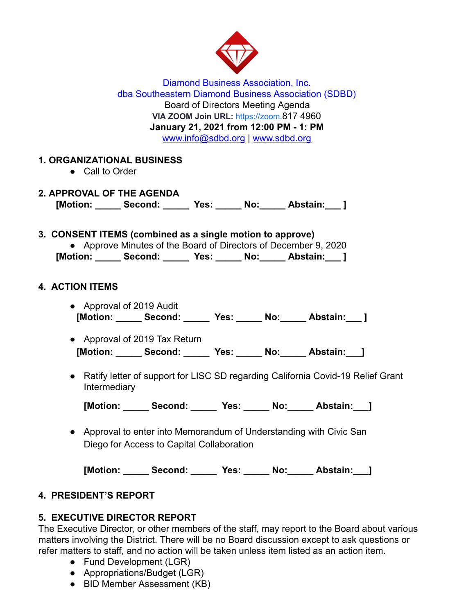

Diamond Business Association, Inc. dba Southeastern Diamond Business Association (SDBD) Board of Directors Meeting Agenda **VIA ZOOM Join URL:** [https://zoom.](https://zoom.us/j/94604493679) 817 4960 **January 21, 2021 from 12:00 PM - 1: PM**  www.info@sdbd.org | [www.sdbd.org](http://www.sdbd.org/)

## **1. ORGANIZATIONAL BUSINESS**

- Call to Order
- **2. APPROVAL OF THE AGENDA [Motion: \_\_\_\_\_ Second: \_\_\_\_\_ Yes: \_\_\_\_\_ No:\_\_\_\_\_ Abstain:\_\_\_ ]**

#### **3. CONSENT ITEMS (combined as a single motion to approve)**

● Approve Minutes of the Board of Directors of December 9, 2020 **[Motion: \_\_\_\_\_ Second: \_\_\_\_\_ Yes: \_\_\_\_\_ No:\_\_\_\_\_ Abstain:\_\_\_ ]** 

### **4. ACTION ITEMS**

- Approval of 2019 Audit  **[Motion: \_\_\_\_\_ Second: \_\_\_\_\_ Yes: \_\_\_\_\_ No:\_\_\_\_\_ Abstain:\_\_\_ ]**
- Approval of 2019 Tax Return  **[Motion: \_\_\_\_\_ Second: \_\_\_\_\_ Yes: \_\_\_\_\_ No:\_\_\_\_\_ Abstain:\_\_\_]**
- Ratify letter of support for LISC SD regarding California Covid-19 Relief Grant Intermediary

[Motion: Second: Yes: No: Abstain: ]

● Approval to enter into Memorandum of Understanding with Civic San Diego for Access to Capital Collaboration

**[Motion: \_\_\_\_\_ Second: \_\_\_\_\_ Yes: \_\_\_\_\_ No:\_\_\_\_\_ Abstain:\_\_\_]** 

## **4. PRESIDENT'S REPORT**

## **5. EXECUTIVE DIRECTOR REPORT**

The Executive Director, or other members of the staff, may report to the Board about various matters involving the District. There will be no Board discussion except to ask questions or refer matters to staff, and no action will be taken unless item listed as an action item.

- Fund Development (LGR)
- Appropriations/Budget (LGR)
- BID Member Assessment (KB)